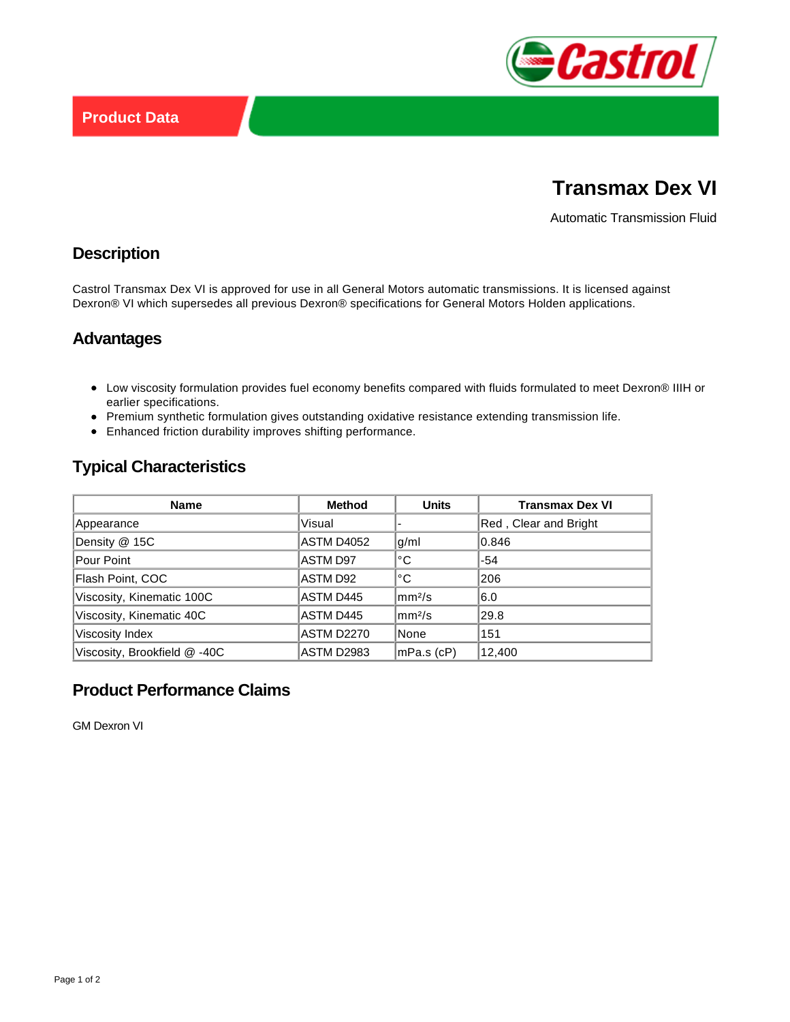

# **Transmax Dex VI**

Automatic Transmission Fluid

## **Description**

Castrol Transmax Dex VI is approved for use in all General Motors automatic transmissions. It is licensed against Dexron® VI which supersedes all previous Dexron® specifications for General Motors Holden applications.

#### **Advantages**

- Low viscosity formulation provides fuel economy benefits compared with fluids formulated to meet Dexron® IIIH or earlier specifications.
- Premium synthetic formulation gives outstanding oxidative resistance extending transmission life.
- Enhanced friction durability improves shifting performance.

# **Typical Characteristics**

| <b>Name</b>                  | <b>Method</b>     | <b>Units</b>         | <b>Transmax Dex VI</b> |
|------------------------------|-------------------|----------------------|------------------------|
| Appearance                   | Visual            |                      | Red, Clear and Bright  |
| Density @ 15C                | ASTM D4052        | g/ml                 | 0.846                  |
| Pour Point                   | <b>ASTM D97</b>   | °C                   | $-54$                  |
| Flash Point, COC             | ASTM D92          | °C                   | 206                    |
| Viscosity, Kinematic 100C    | ASTM D445         | mm <sup>2</sup> /s   | 6.0                    |
| Viscosity, Kinematic 40C     | ASTM D445         | $\rm{mm}^{2}/\rm{s}$ | 29.8                   |
| Viscosity Index              | <b>ASTM D2270</b> | None                 | 151                    |
| Viscosity, Brookfield @ -40C | <b>ASTM D2983</b> | mPa.s (cP)           | 12,400                 |

# **Product Performance Claims**

GM Dexron VI